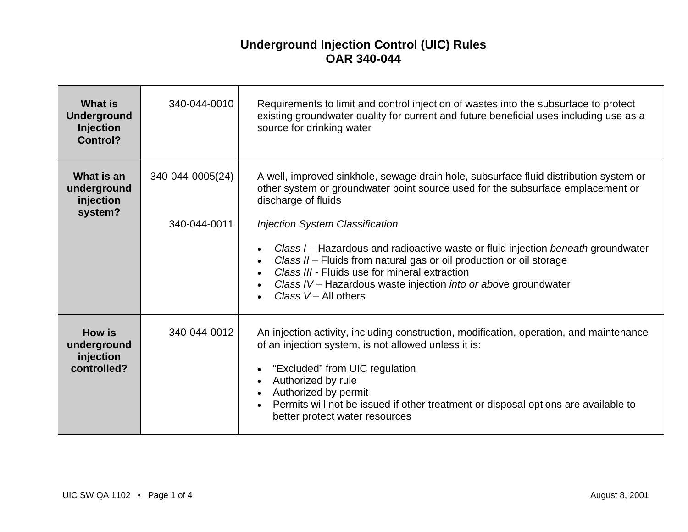## **Underground Injection Control (UIC) Rules OAR 340-044**

| <b>What is</b><br><b>Underground</b><br><b>Injection</b><br><b>Control?</b> | 340-044-0010                     | Requirements to limit and control injection of wastes into the subsurface to protect<br>existing groundwater quality for current and future beneficial uses including use as a<br>source for drinking water                                                                                                                                                                                                                                                                                                                                                    |
|-----------------------------------------------------------------------------|----------------------------------|----------------------------------------------------------------------------------------------------------------------------------------------------------------------------------------------------------------------------------------------------------------------------------------------------------------------------------------------------------------------------------------------------------------------------------------------------------------------------------------------------------------------------------------------------------------|
| What is an<br>underground<br>injection<br>system?                           | 340-044-0005(24)<br>340-044-0011 | A well, improved sinkhole, sewage drain hole, subsurface fluid distribution system or<br>other system or groundwater point source used for the subsurface emplacement or<br>discharge of fluids<br><b>Injection System Classification</b><br>Class I – Hazardous and radioactive waste or fluid injection beneath groundwater<br>$\bullet$<br>Class II - Fluids from natural gas or oil production or oil storage<br>Class III - Fluids use for mineral extraction<br>Class IV - Hazardous waste injection into or above groundwater<br>Class $V - All others$ |
| <b>How is</b><br>underground<br>injection<br>controlled?                    | 340-044-0012                     | An injection activity, including construction, modification, operation, and maintenance<br>of an injection system, is not allowed unless it is:<br>"Excluded" from UIC regulation<br>Authorized by rule<br>$\bullet$<br>Authorized by permit<br>Permits will not be issued if other treatment or disposal options are available to<br>better protect water resources                                                                                                                                                                                           |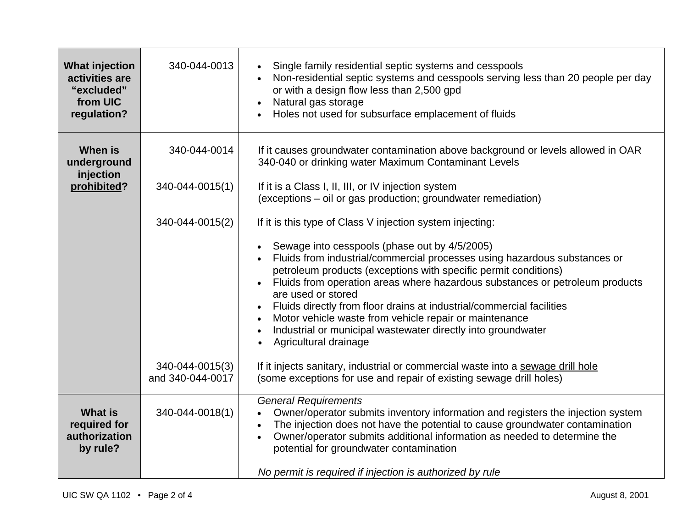| <b>What injection</b><br>activities are<br>"excluded"<br>from UIC<br>regulation? | 340-044-0013                        | Single family residential septic systems and cesspools<br>$\bullet$<br>Non-residential septic systems and cesspools serving less than 20 people per day<br>$\bullet$<br>or with a design flow less than 2,500 gpd<br>Natural gas storage<br>$\bullet$<br>Holes not used for subsurface emplacement of fluids                                                                                                                                                                                                                                                           |
|----------------------------------------------------------------------------------|-------------------------------------|------------------------------------------------------------------------------------------------------------------------------------------------------------------------------------------------------------------------------------------------------------------------------------------------------------------------------------------------------------------------------------------------------------------------------------------------------------------------------------------------------------------------------------------------------------------------|
| <b>When is</b><br>underground<br>injection                                       | 340-044-0014                        | If it causes groundwater contamination above background or levels allowed in OAR<br>340-040 or drinking water Maximum Contaminant Levels                                                                                                                                                                                                                                                                                                                                                                                                                               |
| prohibited?                                                                      | 340-044-0015(1)                     | If it is a Class I, II, III, or IV injection system<br>(exceptions – oil or gas production; groundwater remediation)                                                                                                                                                                                                                                                                                                                                                                                                                                                   |
|                                                                                  | 340-044-0015(2)                     | If it is this type of Class V injection system injecting:                                                                                                                                                                                                                                                                                                                                                                                                                                                                                                              |
|                                                                                  |                                     | Sewage into cesspools (phase out by 4/5/2005)<br>Fluids from industrial/commercial processes using hazardous substances or<br>petroleum products (exceptions with specific permit conditions)<br>Fluids from operation areas where hazardous substances or petroleum products<br>$\bullet$<br>are used or stored<br>Fluids directly from floor drains at industrial/commercial facilities<br>$\bullet$<br>Motor vehicle waste from vehicle repair or maintenance<br>$\bullet$<br>Industrial or municipal wastewater directly into groundwater<br>Agricultural drainage |
|                                                                                  | 340-044-0015(3)<br>and 340-044-0017 | If it injects sanitary, industrial or commercial waste into a sewage drill hole<br>(some exceptions for use and repair of existing sewage drill holes)                                                                                                                                                                                                                                                                                                                                                                                                                 |
| <b>What is</b><br>required for<br>authorization<br>by rule?                      | 340-044-0018(1)                     | <b>General Requirements</b><br>Owner/operator submits inventory information and registers the injection system<br>$\bullet$<br>The injection does not have the potential to cause groundwater contamination<br>$\bullet$<br>Owner/operator submits additional information as needed to determine the<br>$\bullet$<br>potential for groundwater contamination<br>No permit is required if injection is authorized by rule                                                                                                                                               |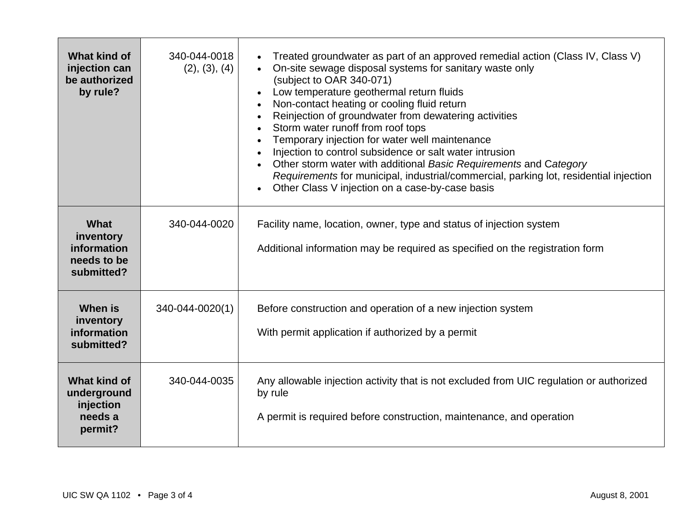| What kind of<br>injection can<br>be authorized<br>by rule?            | 340-044-0018<br>(2), (3), (4) | Treated groundwater as part of an approved remedial action (Class IV, Class V)<br>$\bullet$<br>On-site sewage disposal systems for sanitary waste only<br>$\bullet$<br>(subject to OAR 340-071)<br>Low temperature geothermal return fluids<br>$\bullet$<br>Non-contact heating or cooling fluid return<br>$\bullet$<br>Reinjection of groundwater from dewatering activities<br>$\bullet$<br>Storm water runoff from roof tops<br>$\bullet$<br>Temporary injection for water well maintenance<br>Injection to control subsidence or salt water intrusion<br>$\bullet$<br>Other storm water with additional Basic Requirements and Category<br>Requirements for municipal, industrial/commercial, parking lot, residential injection<br>Other Class V injection on a case-by-case basis<br>$\bullet$ |
|-----------------------------------------------------------------------|-------------------------------|------------------------------------------------------------------------------------------------------------------------------------------------------------------------------------------------------------------------------------------------------------------------------------------------------------------------------------------------------------------------------------------------------------------------------------------------------------------------------------------------------------------------------------------------------------------------------------------------------------------------------------------------------------------------------------------------------------------------------------------------------------------------------------------------------|
| What<br>inventory<br>information<br>needs to be<br>submitted?         | 340-044-0020                  | Facility name, location, owner, type and status of injection system<br>Additional information may be required as specified on the registration form                                                                                                                                                                                                                                                                                                                                                                                                                                                                                                                                                                                                                                                  |
| When is<br>inventory<br>information<br>submitted?                     | 340-044-0020(1)               | Before construction and operation of a new injection system<br>With permit application if authorized by a permit                                                                                                                                                                                                                                                                                                                                                                                                                                                                                                                                                                                                                                                                                     |
| <b>What kind of</b><br>underground<br>injection<br>needs a<br>permit? | 340-044-0035                  | Any allowable injection activity that is not excluded from UIC regulation or authorized<br>by rule<br>A permit is required before construction, maintenance, and operation                                                                                                                                                                                                                                                                                                                                                                                                                                                                                                                                                                                                                           |